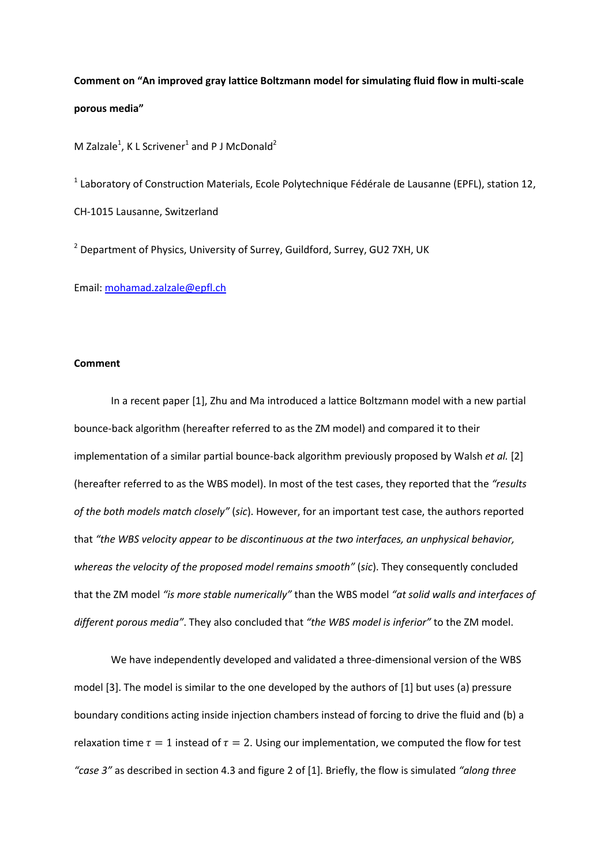**Comment on "An improved gray lattice Boltzmann model for simulating fluid flow in multi-scale porous media"**

M Zalzale<sup>1</sup>, K L Scrivener<sup>1</sup> and P J McDonald<sup>2</sup>

 $<sup>1</sup>$  Laboratory of Construction Materials, Ecole Polytechnique Fédérale de Lausanne (EPFL), station 12,</sup> CH-1015 Lausanne, Switzerland

<sup>2</sup> Department of Physics, University of Surrey, Guildford, Surrey, GU2 7XH, UK

Email: [mohamad.zalzale@epfl.ch](mailto:mohamad.zalzale@epfl.ch)

## **Comment**

In a recent paper [\[1\]](#page-2-0), Zhu and Ma introduced a lattice Boltzmann model with a new partial bounce-back algorithm (hereafter referred to as the ZM model) and compared it to their implementation of a similar partial bounce-back algorithm previously proposed by Walsh *et al.* [\[2\]](#page-2-1) (hereafter referred to as the WBS model). In most of the test cases, they reported that the *"results of the both models match closely"* (*sic*). However, for an important test case, the authors reported that *"the WBS velocity appear to be discontinuous at the two interfaces, an unphysical behavior, whereas the velocity of the proposed model remains smooth"* (*sic*). They consequently concluded that the ZM model *"is more stable numerically"* than the WBS model *"at solid walls and interfaces of different porous media"*. They also concluded that *"the WBS model is inferior"* to the ZM model.

We have independently developed and validated a three-dimensional version of the WBS model [\[3\]](#page-2-2). The model is similar to the one developed by the authors of [\[1\]](#page-2-0) but uses (a) pressure boundary conditions acting inside injection chambers instead of forcing to drive the fluid and (b) a relaxation time  $\tau = 1$  instead of  $\tau = 2$ . Using our implementation, we computed the flow for test *"case 3"* as described in section 4.3 and figure 2 of [\[1\]](#page-2-0). Briefly, the flow is simulated *"along three*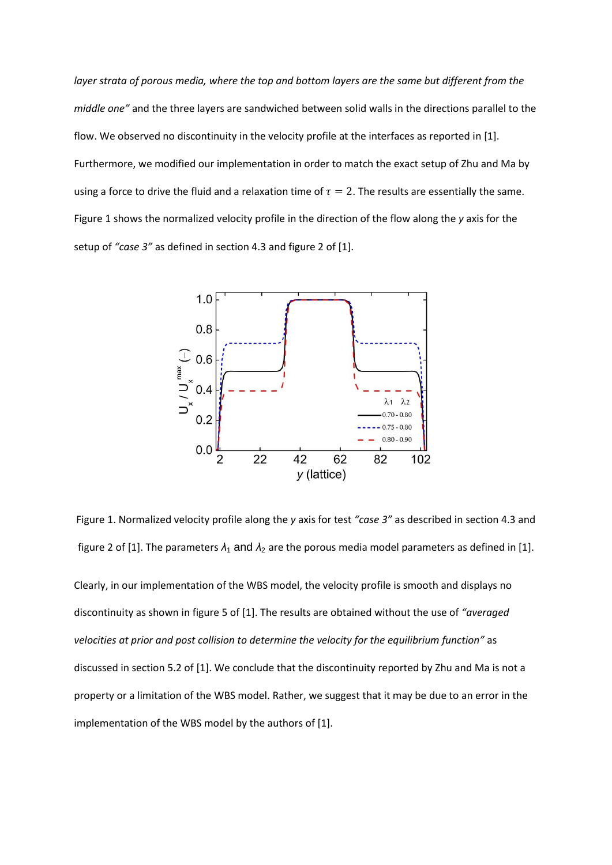*layer strata of porous media, where the top and bottom layers are the same but different from the middle one"* and the three layers are sandwiched between solid walls in the directions parallel to the flow. We observed no discontinuity in the velocity profile at the interfaces as reported in [\[1\]](#page-2-0). Furthermore, we modified our implementation in order to match the exact setup of Zhu and Ma by using a force to drive the fluid and a relaxation time of  $\tau = 2$ . The results are essentially the same. Figure 1 shows the normalized velocity profile in the direction of the flow along the *y* axis for the setup of *"case 3"* as defined in section 4.3 and figure 2 of [\[1\]](#page-2-0).



Figure 1. Normalized velocity profile along the *y* axis for test *"case 3"* as described in section 4.3 and figure 2 of [\[1\]](#page-2-0). The parameters  $\lambda_1$  and  $\lambda_2$  are the porous media model parameters as defined in [1].

Clearly, in our implementation of the WBS model, the velocity profile is smooth and displays no discontinuity as shown in figure 5 of [\[1\]](#page-2-0). The results are obtained without the use of *"averaged velocities at prior and post collision to determine the velocity for the equilibrium function"* as discussed in section 5.2 of [\[1\]](#page-2-0). We conclude that the discontinuity reported by Zhu and Ma is not a property or a limitation of the WBS model. Rather, we suggest that it may be due to an error in the implementation of the WBS model by the authors of [\[1\]](#page-2-0).